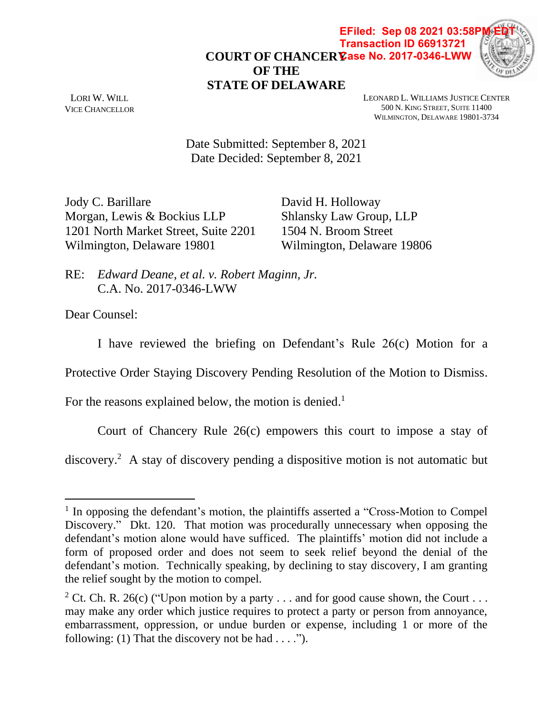**COURT OF CHANCERY Case No. 2017-0346-LWWOF THE STATE OF DELAWARE EFiled: Sep 08 2021 03:58P Transaction ID 66913721**



LORI W. WILL VICE CHANCELLOR LEONARD L. WILLIAMS JUSTICE CENTER 500 N. KING STREET, SUITE 11400 WILMINGTON, DELAWARE 19801-3734

Date Submitted: September 8, 2021 Date Decided: September 8, 2021

Jody C. Barillare Morgan, Lewis & Bockius LLP 1201 North Market Street, Suite 2201 Wilmington, Delaware 19801

David H. Holloway Shlansky Law Group, LLP 1504 N. Broom Street Wilmington, Delaware 19806

RE: *Edward Deane, et al. v. Robert Maginn, Jr.* C.A. No. 2017-0346-LWW

Dear Counsel:

I have reviewed the briefing on Defendant's Rule 26(c) Motion for a

Protective Order Staying Discovery Pending Resolution of the Motion to Dismiss.

For the reasons explained below, the motion is denied.<sup>1</sup>

Court of Chancery Rule 26(c) empowers this court to impose a stay of

discovery.<sup>2</sup> A stay of discovery pending a dispositive motion is not automatic but

<sup>&</sup>lt;sup>1</sup> In opposing the defendant's motion, the plaintiffs asserted a "Cross-Motion to Compel Discovery." Dkt. 120. That motion was procedurally unnecessary when opposing the defendant's motion alone would have sufficed. The plaintiffs' motion did not include a form of proposed order and does not seem to seek relief beyond the denial of the defendant's motion. Technically speaking, by declining to stay discovery, I am granting the relief sought by the motion to compel.

<sup>&</sup>lt;sup>2</sup> Ct. Ch. R. 26(c) ("Upon motion by a party ... and for good cause shown, the Court ... may make any order which justice requires to protect a party or person from annoyance, embarrassment, oppression, or undue burden or expense, including 1 or more of the following: (1) That the discovery not be had  $\dots$ .").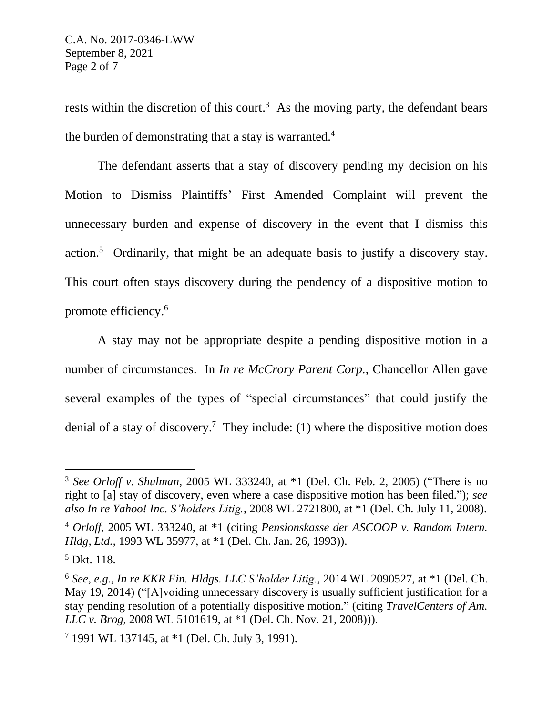rests within the discretion of this court.<sup>3</sup> As the moving party, the defendant bears the burden of demonstrating that a stay is warranted.<sup>4</sup>

The defendant asserts that a stay of discovery pending my decision on his Motion to Dismiss Plaintiffs' First Amended Complaint will prevent the unnecessary burden and expense of discovery in the event that I dismiss this action.<sup>5</sup> Ordinarily, that might be an adequate basis to justify a discovery stay. This court often stays discovery during the pendency of a dispositive motion to promote efficiency. 6

A stay may not be appropriate despite a pending dispositive motion in a number of circumstances. In *In re McCrory Parent Corp.*, Chancellor Allen gave several examples of the types of "special circumstances" that could justify the denial of a stay of discovery.<sup>7</sup> They include: (1) where the dispositive motion does

<sup>3</sup> *See Orloff v. Shulman*, 2005 WL 333240, at \*1 (Del. Ch. Feb. 2, 2005) ("There is no right to [a] stay of discovery, even where a case dispositive motion has been filed."); *see also In re Yahoo! Inc. S'holders Litig.*, 2008 WL 2721800, at \*1 (Del. Ch. July 11, 2008).

<sup>4</sup> *Orloff*, 2005 WL 333240, at \*1 (citing *Pensionskasse der ASCOOP v. Random Intern. Hldg, Ltd.*, 1993 WL 35977, at \*1 (Del. Ch. Jan. 26, 1993)).

<sup>5</sup> Dkt. 118.

<sup>6</sup> *See, e.g.*, *In re KKR Fin. Hldgs. LLC S'holder Litig.*, 2014 WL 2090527, at \*1 (Del. Ch. May 19, 2014) ("[A]voiding unnecessary discovery is usually sufficient justification for a stay pending resolution of a potentially dispositive motion." (citing *TravelCenters of Am. LLC v. Brog*, 2008 WL 5101619, at \*1 (Del. Ch. Nov. 21, 2008))).

<sup>7</sup> 1991 WL 137145, at \*1 (Del. Ch. July 3, 1991).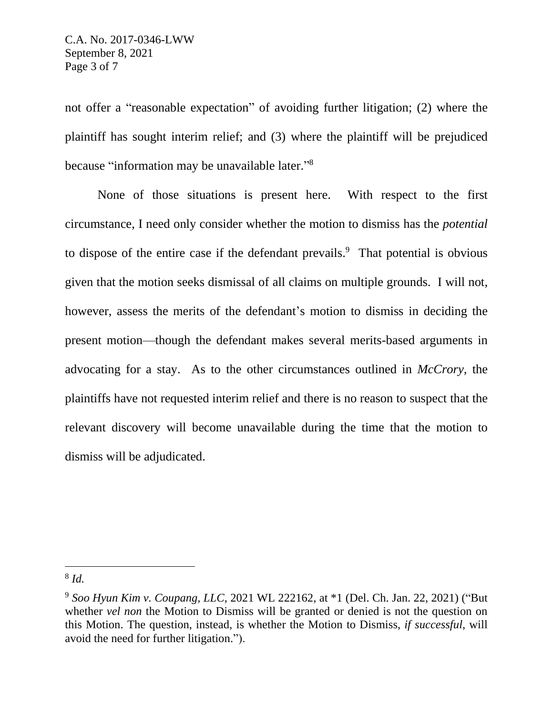not offer a "reasonable expectation" of avoiding further litigation; (2) where the plaintiff has sought interim relief; and (3) where the plaintiff will be prejudiced because "information may be unavailable later."<sup>8</sup>

None of those situations is present here. With respect to the first circumstance, I need only consider whether the motion to dismiss has the *potential* to dispose of the entire case if the defendant prevails.<sup>9</sup> That potential is obvious given that the motion seeks dismissal of all claims on multiple grounds. I will not, however, assess the merits of the defendant's motion to dismiss in deciding the present motion—though the defendant makes several merits-based arguments in advocating for a stay. As to the other circumstances outlined in *McCrory*, the plaintiffs have not requested interim relief and there is no reason to suspect that the relevant discovery will become unavailable during the time that the motion to dismiss will be adjudicated.

<sup>8</sup> *Id.*

<sup>9</sup> *Soo Hyun Kim v. Coupang, LLC*, 2021 WL 222162, at \*1 (Del. Ch. Jan. 22, 2021) ("But whether *vel non* the Motion to Dismiss will be granted or denied is not the question on this Motion. The question, instead, is whether the Motion to Dismiss, *if successful*, will avoid the need for further litigation.").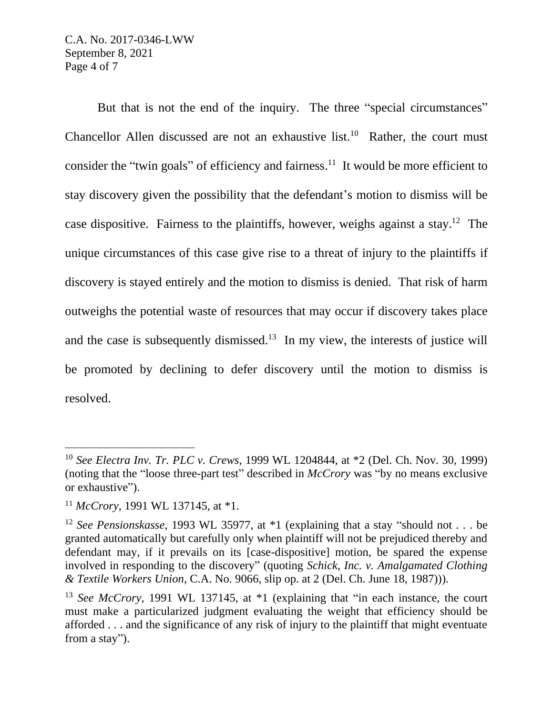But that is not the end of the inquiry. The three "special circumstances" Chancellor Allen discussed are not an exhaustive list.<sup>10</sup> Rather, the court must consider the "twin goals" of efficiency and fairness.<sup>11</sup> It would be more efficient to stay discovery given the possibility that the defendant's motion to dismiss will be case dispositive. Fairness to the plaintiffs, however, weighs against a stay.<sup>12</sup> The unique circumstances of this case give rise to a threat of injury to the plaintiffs if discovery is stayed entirely and the motion to dismiss is denied. That risk of harm outweighs the potential waste of resources that may occur if discovery takes place and the case is subsequently dismissed.<sup>13</sup> In my view, the interests of justice will be promoted by declining to defer discovery until the motion to dismiss is resolved.

<sup>10</sup> *See Electra Inv. Tr. PLC v. Crews*, 1999 WL 1204844, at \*2 (Del. Ch. Nov. 30, 1999) (noting that the "loose three-part test" described in *McCrory* was "by no means exclusive or exhaustive").

<sup>11</sup> *McCrory*, 1991 WL 137145, at \*1.

<sup>12</sup> *See Pensionskasse*, 1993 WL 35977, at \*1 (explaining that a stay "should not . . . be granted automatically but carefully only when plaintiff will not be prejudiced thereby and defendant may, if it prevails on its [case-dispositive] motion, be spared the expense involved in responding to the discovery" (quoting *Schick, Inc. v. Amalgamated Clothing & Textile Workers Union*, C.A. No. 9066, slip op. at 2 (Del. Ch. June 18, 1987))).

<sup>&</sup>lt;sup>13</sup> *See McCrory*, 1991 WL 137145, at \*1 (explaining that "in each instance, the court must make a particularized judgment evaluating the weight that efficiency should be afforded . . . and the significance of any risk of injury to the plaintiff that might eventuate from a stay").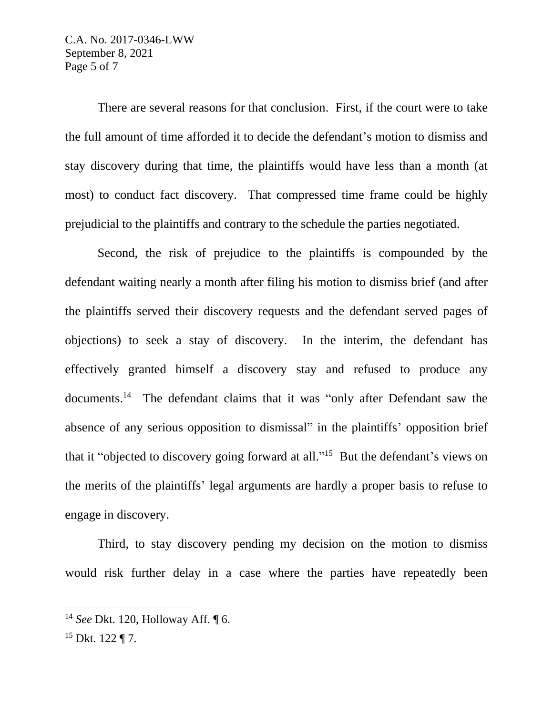C.A. No. 2017-0346-LWW September 8, 2021 Page 5 of 7

There are several reasons for that conclusion. First, if the court were to take the full amount of time afforded it to decide the defendant's motion to dismiss and stay discovery during that time, the plaintiffs would have less than a month (at most) to conduct fact discovery. That compressed time frame could be highly prejudicial to the plaintiffs and contrary to the schedule the parties negotiated.

Second, the risk of prejudice to the plaintiffs is compounded by the defendant waiting nearly a month after filing his motion to dismiss brief (and after the plaintiffs served their discovery requests and the defendant served pages of objections) to seek a stay of discovery. In the interim, the defendant has effectively granted himself a discovery stay and refused to produce any documents.<sup>14</sup> The defendant claims that it was "only after Defendant saw the absence of any serious opposition to dismissal" in the plaintiffs' opposition brief that it "objected to discovery going forward at all."<sup>15</sup> But the defendant's views on the merits of the plaintiffs' legal arguments are hardly a proper basis to refuse to engage in discovery.

Third, to stay discovery pending my decision on the motion to dismiss would risk further delay in a case where the parties have repeatedly been

<sup>14</sup> *See* Dkt. 120, Holloway Aff. ¶ 6.

 $15$  Dkt.  $122$  ¶ 7.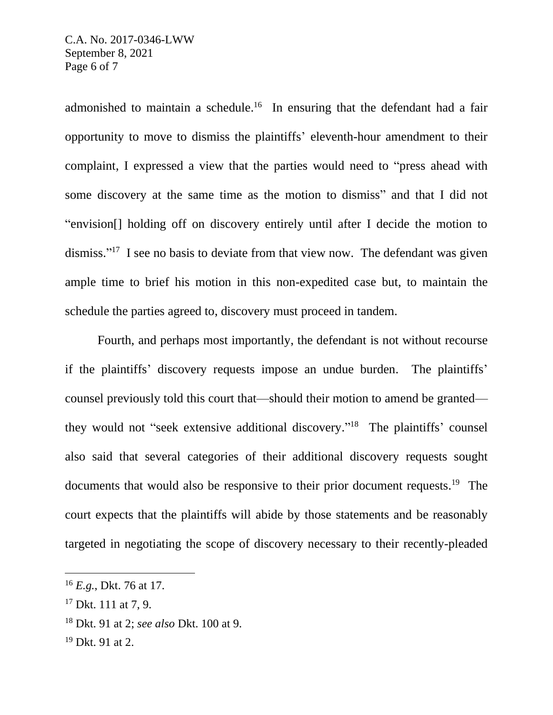admonished to maintain a schedule.<sup>16</sup> In ensuring that the defendant had a fair opportunity to move to dismiss the plaintiffs' eleventh-hour amendment to their complaint, I expressed a view that the parties would need to "press ahead with some discovery at the same time as the motion to dismiss" and that I did not "envision[] holding off on discovery entirely until after I decide the motion to dismiss."<sup>17</sup> I see no basis to deviate from that view now. The defendant was given ample time to brief his motion in this non-expedited case but, to maintain the schedule the parties agreed to, discovery must proceed in tandem.

Fourth, and perhaps most importantly, the defendant is not without recourse if the plaintiffs' discovery requests impose an undue burden. The plaintiffs' counsel previously told this court that—should their motion to amend be granted they would not "seek extensive additional discovery." <sup>18</sup> The plaintiffs' counsel also said that several categories of their additional discovery requests sought documents that would also be responsive to their prior document requests.<sup>19</sup> The court expects that the plaintiffs will abide by those statements and be reasonably targeted in negotiating the scope of discovery necessary to their recently-pleaded

<sup>16</sup> *E.g.*, Dkt. 76 at 17.

<sup>&</sup>lt;sup>17</sup> Dkt. 111 at 7, 9.

<sup>18</sup> Dkt. 91 at 2; *see also* Dkt. 100 at 9.

<sup>19</sup> Dkt. 91 at 2.